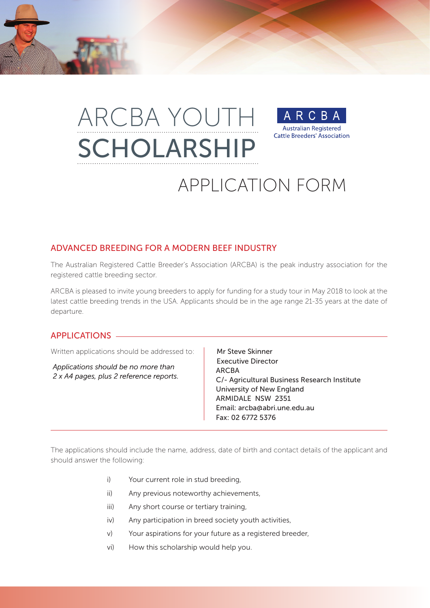# ARCBA YOUTH R. **Australian Registered Cattle Breeders' Association** SCHOLARSHIP



## ADVANCED BREEDING FOR A MODERN BEEF INDUSTRY

The Australian Registered Cattle Breeder's Association (ARCBA) is the peak industry association for the registered cattle breeding sector.

ARCBA is pleased to invite young breeders to apply for funding for a study tour in May 2018 to look at the latest cattle breeding trends in the USA. Applicants should be in the age range 21-35 years at the date of departure.

#### APPLICATIONS

Written applications should be addressed to:  $\parallel$  Mr Steve Skinner

*Applications should be no more than 2 x A4 pages, plus 2 reference reports.*

 Executive Director ARCBA C/- Agricultural Business Research Institute University of New England ARMIDALE NSW 2351 Email: arcba@abri.une.edu.au Fax: 02 6772 5376

The applications should include the name, address, date of birth and contact details of the applicant and should answer the following:

- i) Your current role in stud breeding,
- ii) Any previous noteworthy achievements,
- iii) Any short course or tertiary training,
- iv) Any participation in breed society youth activities,
- v) Your aspirations for your future as a registered breeder,
- vi) How this scholarship would help you.